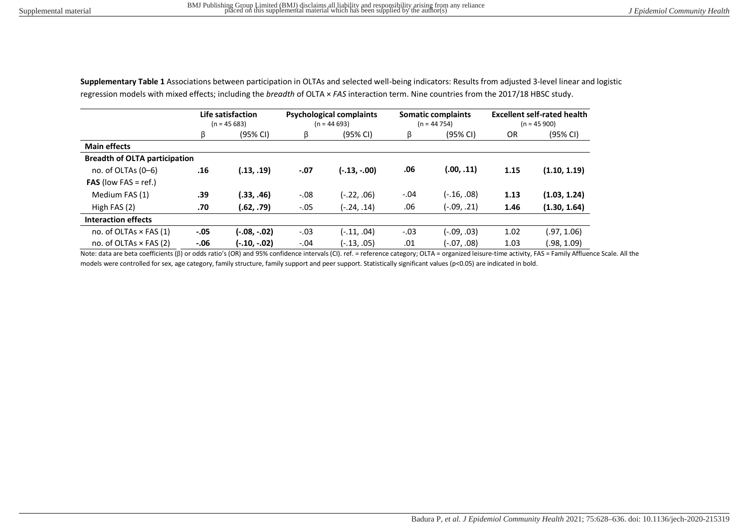|                                      | Life satisfaction<br>$(n = 45683)$ |              | <b>Psychological complaints</b><br>$(n = 44693)$ |                | <b>Somatic complaints</b><br>$(n = 44754)$ |             | <b>Excellent self-rated health</b><br>$(n = 45900)$ |              |
|--------------------------------------|------------------------------------|--------------|--------------------------------------------------|----------------|--------------------------------------------|-------------|-----------------------------------------------------|--------------|
|                                      | ß                                  | (95% CI)     | ß                                                | (95% CI)       | ß                                          | (95% CI)    | <b>OR</b>                                           | (95% CI)     |
| <b>Main effects</b>                  |                                    |              |                                                  |                |                                            |             |                                                     |              |
| <b>Breadth of OLTA participation</b> |                                    |              |                                                  |                |                                            |             |                                                     |              |
| no. of OLTAs $(0-6)$                 | .16                                | (.13, .19)   | $-.07$                                           | $(-.13, -.00)$ | .06                                        | (.00, .11)  | 1.15                                                | (1.10, 1.19) |
| <b>FAS</b> (low FAS = ref.)          |                                    |              |                                                  |                |                                            |             |                                                     |              |
| Medium FAS (1)                       | .39                                | (.33, .46)   | $-.08$                                           | (-.22, .06)    | $-.04$                                     | (-.16, .08) | 1.13                                                | (1.03, 1.24) |
| High FAS $(2)$                       | .70                                | (.62, .79)   | $-.05$                                           | (-.24, .14)    | .06                                        | (-.09, .21) | 1.46                                                | (1.30, 1.64) |
| <b>Interaction effects</b>           |                                    |              |                                                  |                |                                            |             |                                                     |              |
| no. of OLTAs $\times$ FAS (1)        | $-.05$                             | (-.08, -.02) | $-.03$                                           | (-.11, .04)    | $-.03$                                     | (-.09, .03) | 1.02                                                | (.97, 1.06)  |
| no. of OLTAs $\times$ FAS (2)        | $-0.06$                            | (-.10, -.02) | $-.04$                                           | (-.13, .05)    | .01                                        | (-.07, .08) | 1.03                                                | .98, 1.09    |

**Supplementary Table 1** Associations between participation in OLTAs and selected well-being indicators: Results from adjusted 3-level linear and logistic regression models with mixed effects; including the *breadth* of OLTA × *FAS* interaction term. Nine countries from the 2017/18 HBSC study.

Note: data are beta coefficients (β) or odds ratio's (OR) and 95% confidence intervals (CI). ref. = reference category; OLTA = organized leisure-time activity, FAS = Family Affluence Scale. All the models were controlled for sex, age category, family structure, family support and peer support. Statistically significant values (p<0.05) are indicated in bold.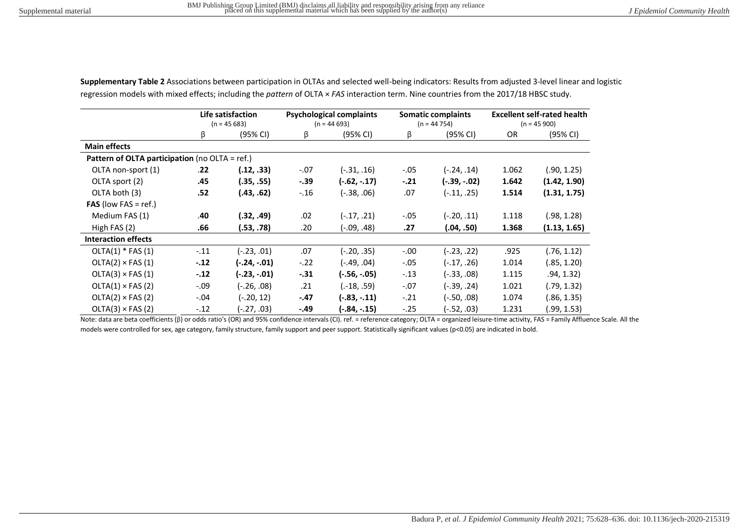|                                                | Life satisfaction<br>$(n = 45683)$ |                | <b>Psychological complaints</b><br>$(n = 44693)$ |                | <b>Somatic complaints</b><br>$(n = 44754)$ |               | <b>Excellent self-rated health</b><br>$(n = 45900)$ |              |
|------------------------------------------------|------------------------------------|----------------|--------------------------------------------------|----------------|--------------------------------------------|---------------|-----------------------------------------------------|--------------|
|                                                | β                                  | (95% CI)       | β                                                | (95% CI)       | β                                          | (95% CI)      | OR                                                  | (95% CI)     |
| <b>Main effects</b>                            |                                    |                |                                                  |                |                                            |               |                                                     |              |
| Pattern of OLTA participation (no OLTA = ref.) |                                    |                |                                                  |                |                                            |               |                                                     |              |
| OLTA non-sport (1)                             | .22                                | (.12, .33)     | $-.07$                                           | $(-.31, .16)$  | $-.05$                                     | (-.24, .14)   | 1.062                                               | (.90, 1.25)  |
| OLTA sport (2)                                 | .45                                | (.35, .55)     | $-.39$                                           | $(-.62, -.17)$ | $-.21$                                     | (-.39, -.02)  | 1.642                                               | (1.42, 1.90) |
| OLTA both (3)                                  | .52                                | (.43, .62)     | $-.16$                                           | $(-.38, .06)$  | .07                                        | (-.11, .25)   | 1.514                                               | (1.31, 1.75) |
| <b>FAS</b> (low FAS = ref.)                    |                                    |                |                                                  |                |                                            |               |                                                     |              |
| Medium FAS (1)                                 | .40                                | (.32, .49)     | .02                                              | $(-.17, .21)$  | $-.05$                                     | (-.20, .11)   | 1.118                                               | (.98, 1.28)  |
| High FAS (2)                                   | .66                                | (.53, .78)     | .20                                              | $(-.09, .48)$  | .27                                        | (.04, .50)    | 1.368                                               | (1.13, 1.65) |
| <b>Interaction effects</b>                     |                                    |                |                                                  |                |                                            |               |                                                     |              |
| $OLTA(1) * FAS(1)$                             | $-.11$                             | (23, .01)      | .07                                              | $(-.20, .35)$  | $-.00$                                     | $(-.23, .22)$ | .925                                                | (.76, 1.12)  |
| $OLTA(2) \times FAS(1)$                        | $-.12$                             | (-.24, -.01)   | $-.22$                                           | $(-.49, .04)$  | $-.05$                                     | (-.17, .26)   | 1.014                                               | (.85, 1.20)  |
| $OLTA(3) \times FAS(1)$                        | $-.12$                             | $(-.23, -.01)$ | $-31$                                            | (-.56, -.05)   | $-.13$                                     | (-.33, .08)   | 1.115                                               | .94, 1.32)   |
| $OLTA(1) \times FAS(2)$                        | $-.09$                             | (-.26, .08)    | .21                                              | $(-18, .59)$   | $-.07$                                     | (39, .24).    | 1.021                                               | (.79, 1.32)  |
| $OLTA(2) \times FAS(2)$                        | $-.04$                             | (-.20, 12)     | $-.47$                                           | $(-.83, -.11)$ | $-.21$                                     | (-.50, .08)   | 1.074                                               | (.86, 1.35)  |
| $OLTA(3) \times FAS(2)$                        | $-.12$                             | (-.27, .03)    | -.49                                             | (-.84, -.15)   | $-.25$                                     | (-.52, .03)   | 1.231                                               | (.99, 1.53)  |

**Supplementary Table 2** Associations between participation in OLTAs and selected well-being indicators: Results from adjusted 3-level linear and logistic regression models with mixed effects; including the *pattern* of OLTA × *FAS* interaction term. Nine countries from the 2017/18 HBSC study.

Note: data are beta coefficients (β) or odds ratio's (OR) and 95% confidence intervals (CI). ref. = reference category; OLTA = organized leisure-time activity, FAS = Family Affluence Scale. All the models were controlled for sex, age category, family structure, family support and peer support. Statistically significant values (p<0.05) are indicated in bold.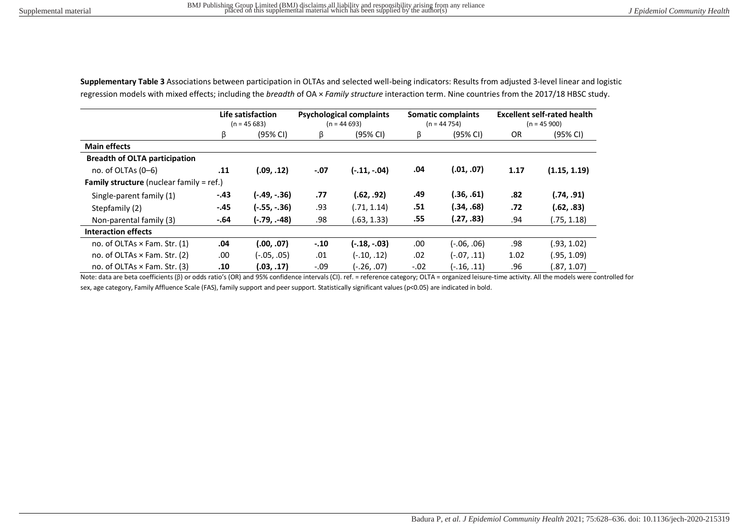|                                                 | Life satisfaction<br>$(n = 45683)$ |                | <b>Psychological complaints</b><br>$(n = 44693)$ |                | <b>Somatic complaints</b><br>$(n = 44754)$ |             | <b>Excellent self-rated health</b><br>$(n = 45 900)$ |              |
|-------------------------------------------------|------------------------------------|----------------|--------------------------------------------------|----------------|--------------------------------------------|-------------|------------------------------------------------------|--------------|
|                                                 | β                                  | (95% CI)       | β                                                | (95% CI)       | β                                          | (95% CI)    | <b>OR</b>                                            | (95% CI)     |
| <b>Main effects</b>                             |                                    |                |                                                  |                |                                            |             |                                                      |              |
| <b>Breadth of OLTA participation</b>            |                                    |                |                                                  |                |                                            |             |                                                      |              |
| no. of OLTAs $(0-6)$                            | .11                                | (.09,.12)      | $-.07$                                           | $(-.11, -.04)$ | .04                                        | (.01, .07)  | 1.17                                                 | (1.15, 1.19) |
| <b>Family structure</b> (nuclear family = ref.) |                                    |                |                                                  |                |                                            |             |                                                      |              |
| Single-parent family (1)                        | $-.43$                             | $(-.49, -.36)$ | .77                                              | (.62, .92)     | .49                                        | (.36, .61)  | .82                                                  | (.74, .91)   |
| Stepfamily (2)                                  | $-.45$                             | $(-.55, -.36)$ | .93                                              | (.71, 1.14)    | .51                                        | (.34, .68)  | .72                                                  | (.62, .83)   |
| Non-parental family (3)                         | $-.64$                             | $(-.79, -48)$  | .98                                              | (.63, 1.33)    | .55                                        | (.27, .83)  | .94                                                  | (.75, 1.18)  |
| Interaction effects                             |                                    |                |                                                  |                |                                            |             |                                                      |              |
| no. of OLTAs $\times$ Fam. Str. (1)             | .04                                | (.00, .07)     | $-.10$                                           | $(-.18, -.03)$ | .00.                                       | (-.06, .06) | .98                                                  | (.93, 1.02)  |
| no. of OLTAs × Fam. Str. (2)                    | .00                                | (-.05, .05)    | .01                                              | $(-.10, .12)$  | .02                                        | (-.07, .11) | 1.02                                                 | (.95, 1.09)  |
| no. of OLTAs × Fam. Str. (3)                    | .10                                | (.03, .17)     | $-.09$                                           | $(-.26, .07)$  | $-.02$                                     | (16, .11)   | .96                                                  | (.87, 1.07)  |

**Supplementary Table 3** Associations between participation in OLTAs and selected well-being indicators: Results from adjusted 3-level linear and logistic regression models with mixed effects; including the *breadth* of OA × *Family structure* interaction term. Nine countries from the 2017/18 HBSC study.

Note: data are beta coefficients (β) or odds ratio's (OR) and 95% confidence intervals (CI). ref. = reference category; OLTA = organized leisure-time activity. All the models were controlled for sex, age category, Family Affluence Scale (FAS), family support and peer support. Statistically significant values (p<0.05) are indicated in bold.